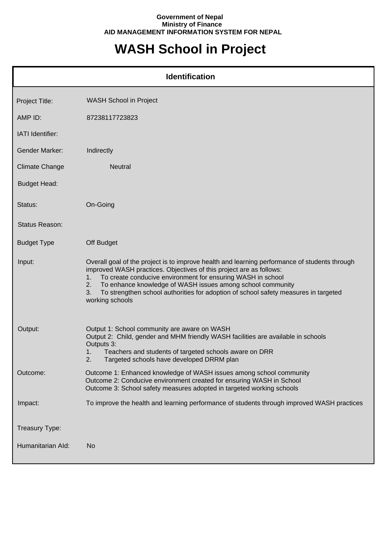## **Government of Nepal Ministry of Finance AID MANAGEMENT INFORMATION SYSTEM FOR NEPAL**

## **WASH School in Project**

| <b>Identification</b> |                                                                                                                                                                                                                                                                                                                                                                                                                               |  |
|-----------------------|-------------------------------------------------------------------------------------------------------------------------------------------------------------------------------------------------------------------------------------------------------------------------------------------------------------------------------------------------------------------------------------------------------------------------------|--|
| Project Title:        | <b>WASH School in Project</b>                                                                                                                                                                                                                                                                                                                                                                                                 |  |
| AMP ID:               | 87238117723823                                                                                                                                                                                                                                                                                                                                                                                                                |  |
| IATI Identifier:      |                                                                                                                                                                                                                                                                                                                                                                                                                               |  |
| <b>Gender Marker:</b> | Indirectly                                                                                                                                                                                                                                                                                                                                                                                                                    |  |
| <b>Climate Change</b> | Neutral                                                                                                                                                                                                                                                                                                                                                                                                                       |  |
| <b>Budget Head:</b>   |                                                                                                                                                                                                                                                                                                                                                                                                                               |  |
| Status:               | On-Going                                                                                                                                                                                                                                                                                                                                                                                                                      |  |
| <b>Status Reason:</b> |                                                                                                                                                                                                                                                                                                                                                                                                                               |  |
| <b>Budget Type</b>    | Off Budget                                                                                                                                                                                                                                                                                                                                                                                                                    |  |
| Input:                | Overall goal of the project is to improve health and learning performance of students through<br>improved WASH practices. Objectives of this project are as follows:<br>To create conducive environment for ensuring WASH in school<br>1.<br>To enhance knowledge of WASH issues among school community<br>2.<br>To strengthen school authorities for adoption of school safety measures in targeted<br>3.<br>working schools |  |
| Output:               | Output 1: School community are aware on WASH<br>Output 2: Child, gender and MHM friendly WASH facilities are available in schools<br>Outputs 3:<br>Teachers and students of targeted schools aware on DRR<br>1.<br>2.<br>Targeted schools have developed DRRM plan                                                                                                                                                            |  |
| Outcome:              | Outcome 1: Enhanced knowledge of WASH issues among school community<br>Outcome 2: Conducive environment created for ensuring WASH in School<br>Outcome 3: School safety measures adopted in targeted working schools                                                                                                                                                                                                          |  |
| Impact:               | To improve the health and learning performance of students through improved WASH practices                                                                                                                                                                                                                                                                                                                                    |  |
| Treasury Type:        |                                                                                                                                                                                                                                                                                                                                                                                                                               |  |
| Humanitarian Ald:     | No                                                                                                                                                                                                                                                                                                                                                                                                                            |  |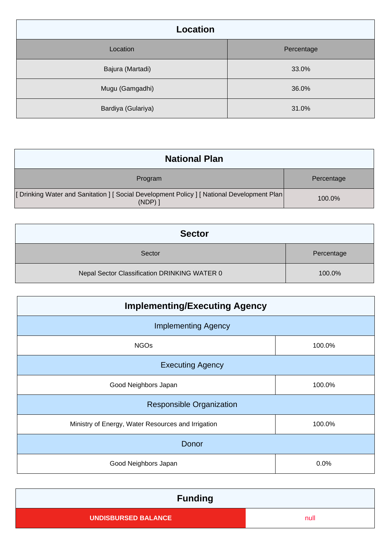| <b>Location</b>    |            |  |
|--------------------|------------|--|
| Location           | Percentage |  |
| Bajura (Martadi)   | 33.0%      |  |
| Mugu (Gamgadhi)    | 36.0%      |  |
| Bardiya (Gulariya) | 31.0%      |  |

| <b>National Plan</b>                                                                              |            |
|---------------------------------------------------------------------------------------------------|------------|
| Program                                                                                           | Percentage |
| [Drinking Water and Sanitation ] [Social Development Policy ] [National Development Plan<br>(NDP) | 100.0%     |

| <b>Sector</b>                                |            |
|----------------------------------------------|------------|
| Sector                                       | Percentage |
| Nepal Sector Classification DRINKING WATER 0 | 100.0%     |

| <b>Implementing/Executing Agency</b>               |        |  |
|----------------------------------------------------|--------|--|
| <b>Implementing Agency</b>                         |        |  |
| <b>NGOs</b>                                        | 100.0% |  |
| <b>Executing Agency</b>                            |        |  |
| Good Neighbors Japan                               | 100.0% |  |
| <b>Responsible Organization</b>                    |        |  |
| Ministry of Energy, Water Resources and Irrigation | 100.0% |  |
| Donor                                              |        |  |
| Good Neighbors Japan                               | 0.0%   |  |

| <b>Funding</b>             |      |
|----------------------------|------|
| <b>UNDISBURSED BALANCE</b> | null |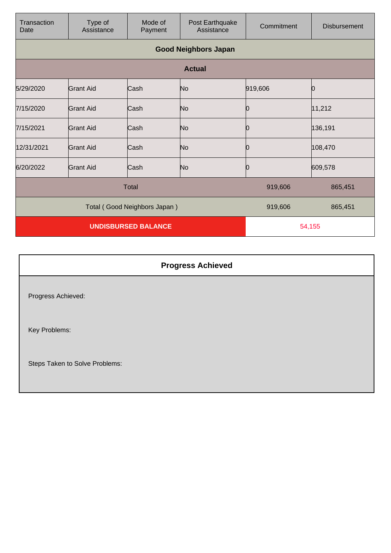| Transaction<br>Date          | Type of<br>Assistance       | Mode of<br>Payment | Post Earthquake<br>Assistance | Commitment | <b>Disbursement</b> |
|------------------------------|-----------------------------|--------------------|-------------------------------|------------|---------------------|
|                              | <b>Good Neighbors Japan</b> |                    |                               |            |                     |
|                              |                             |                    | <b>Actual</b>                 |            |                     |
| 5/29/2020                    | <b>Grant Aid</b>            | Cash               | No                            | 919,606    |                     |
| 7/15/2020                    | <b>Grant Aid</b>            | Cash               | No                            | Ю          | 11,212              |
| 7/15/2021                    | <b>Grant Aid</b>            | Cash               | No                            | 0          | 136,191             |
| 12/31/2021                   | Grant Aid                   | Cash               | No                            | 10         | 108,470             |
| 6/20/2022                    | <b>Grant Aid</b>            | Cash               | No                            | Ю          | 609,578             |
| <b>Total</b>                 |                             |                    | 919,606                       | 865,451    |                     |
| Total (Good Neighbors Japan) |                             |                    | 919,606                       | 865,451    |                     |
| <b>UNDISBURSED BALANCE</b>   |                             |                    | 54,155                        |            |                     |

| <b>Progress Achieved</b>       |
|--------------------------------|
| Progress Achieved:             |
| Key Problems:                  |
| Steps Taken to Solve Problems: |